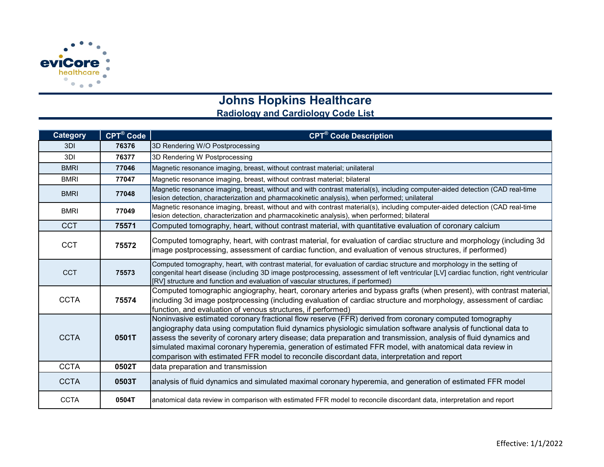

## **Johns Hopkins Healthcare**

## **Radiology and Cardiology Code List**

| Category    | CPT® Code | <b>CPT<sup>®</sup></b> Code Description                                                                                                                                                                                                                                                                                                                                                                                                                                                                                                                   |
|-------------|-----------|-----------------------------------------------------------------------------------------------------------------------------------------------------------------------------------------------------------------------------------------------------------------------------------------------------------------------------------------------------------------------------------------------------------------------------------------------------------------------------------------------------------------------------------------------------------|
| 3DI         | 76376     | 3D Rendering W/O Postprocessing                                                                                                                                                                                                                                                                                                                                                                                                                                                                                                                           |
| 3DI         | 76377     | 3D Rendering W Postprocessing                                                                                                                                                                                                                                                                                                                                                                                                                                                                                                                             |
| <b>BMRI</b> | 77046     | Magnetic resonance imaging, breast, without contrast material; unilateral                                                                                                                                                                                                                                                                                                                                                                                                                                                                                 |
| <b>BMRI</b> | 77047     | Magnetic resonance imaging, breast, without contrast material; bilateral                                                                                                                                                                                                                                                                                                                                                                                                                                                                                  |
| <b>BMRI</b> | 77048     | Magnetic resonance imaging, breast, without and with contrast material(s), including computer-aided detection (CAD real-time<br>lesion detection, characterization and pharmacokinetic analysis), when performed; unilateral                                                                                                                                                                                                                                                                                                                              |
| <b>BMRI</b> | 77049     | Magnetic resonance imaging, breast, without and with contrast material(s), including computer-aided detection (CAD real-time<br>lesion detection, characterization and pharmacokinetic analysis), when performed; bilateral                                                                                                                                                                                                                                                                                                                               |
| <b>CCT</b>  | 75571     | Computed tomography, heart, without contrast material, with quantitative evaluation of coronary calcium                                                                                                                                                                                                                                                                                                                                                                                                                                                   |
| <b>CCT</b>  | 75572     | Computed tomography, heart, with contrast material, for evaluation of cardiac structure and morphology (including 3d<br>image postprocessing, assessment of cardiac function, and evaluation of venous structures, if performed)                                                                                                                                                                                                                                                                                                                          |
| <b>CCT</b>  | 75573     | Computed tomography, heart, with contrast material, for evaluation of cardiac structure and morphology in the setting of<br>congenital heart disease (including 3D image postprocessing, assessment of left ventricular [LV] cardiac function, right ventricular<br>[RV] structure and function and evaluation of vascular structures, if performed)                                                                                                                                                                                                      |
| <b>CCTA</b> | 75574     | Computed tomographic angiography, heart, coronary arteries and bypass grafts (when present), with contrast material,<br>including 3d image postprocessing (including evaluation of cardiac structure and morphology, assessment of cardiac<br>function, and evaluation of venous structures, if performed)                                                                                                                                                                                                                                                |
| <b>CCTA</b> | 0501T     | Noninvasive estimated coronary fractional flow reserve (FFR) derived from coronary computed tomography<br>angiography data using computation fluid dynamics physiologic simulation software analysis of functional data to<br>assess the severity of coronary artery disease; data preparation and transmission, analysis of fluid dynamics and<br>simulated maximal coronary hyperemia, generation of estimated FFR model, with anatomical data review in<br>comparison with estimated FFR model to reconcile discordant data, interpretation and report |
| <b>CCTA</b> | 0502T     | data preparation and transmission                                                                                                                                                                                                                                                                                                                                                                                                                                                                                                                         |
| <b>CCTA</b> | 0503T     | analysis of fluid dynamics and simulated maximal coronary hyperemia, and generation of estimated FFR model                                                                                                                                                                                                                                                                                                                                                                                                                                                |
| <b>CCTA</b> | 0504T     | anatomical data review in comparison with estimated FFR model to reconcile discordant data, interpretation and report                                                                                                                                                                                                                                                                                                                                                                                                                                     |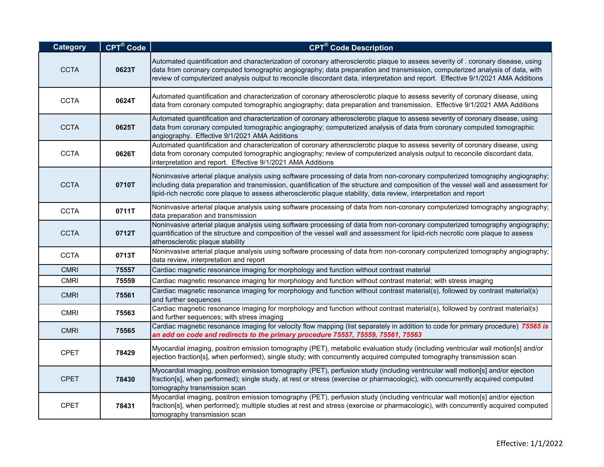| <b>Category</b> | <b>CPT®</b> Code | CPT <sup>®</sup> Code Description                                                                                                                                                                                                                                                                                                                                                                   |
|-----------------|------------------|-----------------------------------------------------------------------------------------------------------------------------------------------------------------------------------------------------------------------------------------------------------------------------------------------------------------------------------------------------------------------------------------------------|
| <b>CCTA</b>     | 0623T            | Automated quantification and characterization of coronary atherosclerotic plaque to assess severity of . coronary disease, using<br>data from coronary computed tomographic angiography; data preparation and transmission, computerized analysis of data, with<br>review of computerized analysis output to reconcile discordant data, interpretation and report. Effective 9/1/2021 AMA Additions |
| <b>CCTA</b>     | 0624T            | Automated quantification and characterization of coronary atherosclerotic plaque to assess severity of coronary disease, using<br>data from coronary computed tomographic angiography; data preparation and transmission. Effective 9/1/2021 AMA Additions                                                                                                                                          |
| <b>CCTA</b>     | 0625T            | Automated quantification and characterization of coronary atherosclerotic plaque to assess severity of coronary disease, using<br>data from coronary computed tomographic angiography; computerized analysis of data from coronary computed tomographic<br>angiography. Effective 9/1/2021 AMA Additions                                                                                            |
| <b>CCTA</b>     | 0626T            | Automated quantification and characterization of coronary atherosclerotic plaque to assess severity of coronary disease, using<br>data from coronary computed tomographic angiography; review of computerized analysis output to reconcile discordant data,<br>interpretation and report. Effective 9/1/2021 AMA Additions                                                                          |
| <b>CCTA</b>     | 0710T            | Noninvasive arterial plaque analysis using software processing of data from non-coronary computerized tomography angiography;<br>including data preparation and transmission, quantification of the structure and composition of the vessel wall and assessment for<br>lipid-rich necrotic core plaque to assess atherosclerotic plaque stability, data review, interpretation and report           |
| <b>CCTA</b>     | 0711T            | Noninvasive arterial plaque analysis using software processing of data from non-coronary computerized tomography angiography;<br>data preparation and transmission                                                                                                                                                                                                                                  |
| <b>CCTA</b>     | 0712T            | Noninvasive arterial plaque analysis using software processing of data from non-coronary computerized tomography angiography;<br>quantification of the structure and composition of the vessel wall and assessment for lipid-rich necrotic core plaque to assess<br>atherosclerotic plaque stability                                                                                                |
| <b>CCTA</b>     | 0713T            | Noninvasive arterial plaque analysis using software processing of data from non-coronary computerized tomography angiography;<br>data review, interpretation and report                                                                                                                                                                                                                             |
| <b>CMRI</b>     | 75557            | Cardiac magnetic resonance imaging for morphology and function without contrast material                                                                                                                                                                                                                                                                                                            |
| <b>CMRI</b>     | 75559            | Cardiac magnetic resonance imaging for morphology and function without contrast material; with stress imaging                                                                                                                                                                                                                                                                                       |
| <b>CMRI</b>     | 75561            | Cardiac magnetic resonance imaging for morphology and function without contrast material(s), followed by contrast material(s)<br>and further sequences                                                                                                                                                                                                                                              |
| <b>CMRI</b>     | 75563            | Cardiac magnetic resonance imaging for morphology and function without contrast material(s), followed by contrast material(s)<br>and further sequences; with stress imaging                                                                                                                                                                                                                         |
| <b>CMRI</b>     | 75565            | Cardiac magnetic resonance imaging for velocity flow mapping (list separately in addition to code for primary procedure) 75565 is<br>an add on code and redirects to the primary procedure 75557, 75559, 75561, 75563                                                                                                                                                                               |
| <b>CPET</b>     | 78429            | Myocardial imaging, positron emission tomography (PET), metabolic evaluation study (including ventricular wall motion[s] and/or<br>ejection fraction[s], when performed), single study; with concurrently acquired computed tomography transmission scan                                                                                                                                            |
| <b>CPET</b>     | 78430            | Myocardial imaging, positron emission tomography (PET), perfusion study (including ventricular wall motion[s] and/or ejection<br>fraction[s], when performed); single study, at rest or stress (exercise or pharmacologic), with concurrently acquired computed<br>tomography transmission scan                                                                                                     |
| <b>CPET</b>     | 78431            | Myocardial imaging, positron emission tomography (PET), perfusion study (including ventricular wall motion[s] and/or ejection<br>fraction[s], when performed); multiple studies at rest and stress (exercise or pharmacologic), with concurrently acquired computed<br>tomography transmission scan                                                                                                 |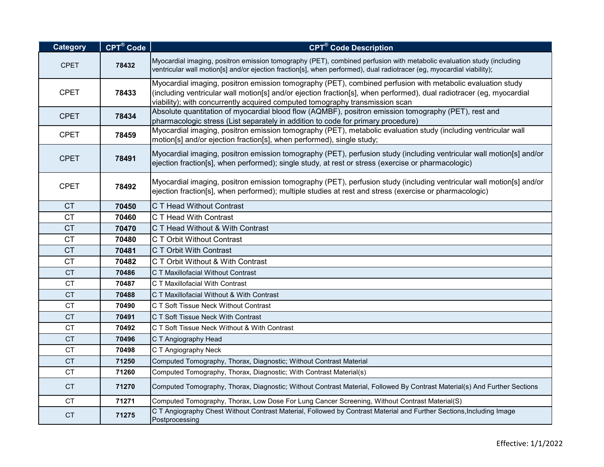| <b>Category</b> | CPT® Code | <b>CPT<sup>®</sup> Code Description</b>                                                                                                                                                                                                                                                                            |
|-----------------|-----------|--------------------------------------------------------------------------------------------------------------------------------------------------------------------------------------------------------------------------------------------------------------------------------------------------------------------|
| <b>CPET</b>     | 78432     | Myocardial imaging, positron emission tomography (PET), combined perfusion with metabolic evaluation study (including<br>ventricular wall motion[s] and/or ejection fraction[s], when performed), dual radiotracer (eg, myocardial viability);                                                                     |
| <b>CPET</b>     | 78433     | Myocardial imaging, positron emission tomography (PET), combined perfusion with metabolic evaluation study<br>(including ventricular wall motion[s] and/or ejection fraction[s], when performed), dual radiotracer (eg, myocardial<br>viability); with concurrently acquired computed tomography transmission scan |
| <b>CPET</b>     | 78434     | Absolute quantitation of myocardial blood flow (AQMBF), positron emission tomography (PET), rest and<br>pharmacologic stress (List separately in addition to code for primary procedure)                                                                                                                           |
| <b>CPET</b>     | 78459     | Myocardial imaging, positron emission tomography (PET), metabolic evaluation study (including ventricular wall<br>motion[s] and/or ejection fraction[s], when performed), single study;                                                                                                                            |
| <b>CPET</b>     | 78491     | Myocardial imaging, positron emission tomography (PET), perfusion study (including ventricular wall motion[s] and/or<br>ejection fraction[s], when performed); single study, at rest or stress (exercise or pharmacologic)                                                                                         |
| <b>CPET</b>     | 78492     | Myocardial imaging, positron emission tomography (PET), perfusion study (including ventricular wall motion[s] and/or<br>ejection fraction[s], when performed); multiple studies at rest and stress (exercise or pharmacologic)                                                                                     |
| <b>CT</b>       | 70450     | C T Head Without Contrast                                                                                                                                                                                                                                                                                          |
| <b>CT</b>       | 70460     | C T Head With Contrast                                                                                                                                                                                                                                                                                             |
| <b>CT</b>       | 70470     | C T Head Without & With Contrast                                                                                                                                                                                                                                                                                   |
| <b>CT</b>       | 70480     | C T Orbit Without Contrast                                                                                                                                                                                                                                                                                         |
| <b>CT</b>       | 70481     | C T Orbit With Contrast                                                                                                                                                                                                                                                                                            |
| <b>CT</b>       | 70482     | C T Orbit Without & With Contrast                                                                                                                                                                                                                                                                                  |
| <b>CT</b>       | 70486     | C T Maxillofacial Without Contrast                                                                                                                                                                                                                                                                                 |
| <b>CT</b>       | 70487     | C T Maxillofacial With Contrast                                                                                                                                                                                                                                                                                    |
| <b>CT</b>       | 70488     | C T Maxillofacial Without & With Contrast                                                                                                                                                                                                                                                                          |
| <b>CT</b>       | 70490     | C T Soft Tissue Neck Without Contrast                                                                                                                                                                                                                                                                              |
| <b>CT</b>       | 70491     | C T Soft Tissue Neck With Contrast                                                                                                                                                                                                                                                                                 |
| <b>CT</b>       | 70492     | C T Soft Tissue Neck Without & With Contrast                                                                                                                                                                                                                                                                       |
| <b>CT</b>       | 70496     | C T Angiography Head                                                                                                                                                                                                                                                                                               |
| CT.             | 70498     | C T Angiography Neck                                                                                                                                                                                                                                                                                               |
| CT              | 71250     | Computed Tomography, Thorax, Diagnostic; Without Contrast Material                                                                                                                                                                                                                                                 |
| <b>CT</b>       | 71260     | Computed Tomography, Thorax, Diagnostic; With Contrast Material(s)                                                                                                                                                                                                                                                 |
| <b>CT</b>       | 71270     | Computed Tomography, Thorax, Diagnostic; Without Contrast Material, Followed By Contrast Material(s) And Further Sections                                                                                                                                                                                          |
| <b>CT</b>       | 71271     | Computed Tomography, Thorax, Low Dose For Lung Cancer Screening, Without Contrast Material(S)                                                                                                                                                                                                                      |
| <b>CT</b>       | 71275     | C T Angiography Chest Without Contrast Material, Followed by Contrast Material and Further Sections, Including Image<br>Postprocessing                                                                                                                                                                             |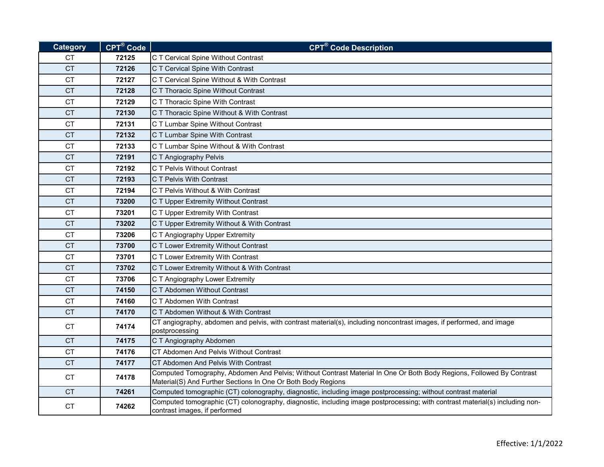| <b>Category</b> | CPT® Code | <b>CPT<sup>®</sup> Code Description</b>                                                                                                                                              |
|-----------------|-----------|--------------------------------------------------------------------------------------------------------------------------------------------------------------------------------------|
| CT.             | 72125     | C T Cervical Spine Without Contrast                                                                                                                                                  |
| <b>CT</b>       | 72126     | C T Cervical Spine With Contrast                                                                                                                                                     |
| CT.             | 72127     | C T Cervical Spine Without & With Contrast                                                                                                                                           |
| <b>CT</b>       | 72128     | C T Thoracic Spine Without Contrast                                                                                                                                                  |
| <b>CT</b>       | 72129     | C T Thoracic Spine With Contrast                                                                                                                                                     |
| CT              | 72130     | C T Thoracic Spine Without & With Contrast                                                                                                                                           |
| <b>CT</b>       | 72131     | C T Lumbar Spine Without Contrast                                                                                                                                                    |
| <b>CT</b>       | 72132     | C T Lumbar Spine With Contrast                                                                                                                                                       |
| <b>CT</b>       | 72133     | C T Lumbar Spine Without & With Contrast                                                                                                                                             |
| <b>CT</b>       | 72191     | C T Angiography Pelvis                                                                                                                                                               |
| CT.             | 72192     | C T Pelvis Without Contrast                                                                                                                                                          |
| CT.             | 72193     | C T Pelvis With Contrast                                                                                                                                                             |
| СT              | 72194     | C T Pelvis Without & With Contrast                                                                                                                                                   |
| <b>CT</b>       | 73200     | C T Upper Extremity Without Contrast                                                                                                                                                 |
| <b>CT</b>       | 73201     | C T Upper Extremity With Contrast                                                                                                                                                    |
| <b>CT</b>       | 73202     | C T Upper Extremity Without & With Contrast                                                                                                                                          |
| <b>CT</b>       | 73206     | C T Angiography Upper Extremity                                                                                                                                                      |
| <b>CT</b>       | 73700     | C T Lower Extremity Without Contrast                                                                                                                                                 |
| <b>CT</b>       | 73701     | C T Lower Extremity With Contrast                                                                                                                                                    |
| CT.             | 73702     | C T Lower Extremity Without & With Contrast                                                                                                                                          |
| <b>CT</b>       | 73706     | C T Angiography Lower Extremity                                                                                                                                                      |
| <b>CT</b>       | 74150     | C T Abdomen Without Contrast                                                                                                                                                         |
| <b>CT</b>       | 74160     | C T Abdomen With Contrast                                                                                                                                                            |
| <b>CT</b>       | 74170     | C T Abdomen Without & With Contrast                                                                                                                                                  |
| <b>CT</b>       | 74174     | CT angiography, abdomen and pelvis, with contrast material(s), including noncontrast images, if performed, and image<br>postprocessing                                               |
| <b>CT</b>       | 74175     | C T Angiography Abdomen                                                                                                                                                              |
| <b>CT</b>       | 74176     | CT Abdomen And Pelvis Without Contrast                                                                                                                                               |
| <b>CT</b>       | 74177     | CT Abdomen And Pelvis With Contrast                                                                                                                                                  |
| <b>CT</b>       | 74178     | Computed Tomography, Abdomen And Pelvis; Without Contrast Material In One Or Both Body Regions, Followed By Contrast<br>Material(S) And Further Sections In One Or Both Body Regions |
| <b>CT</b>       | 74261     | Computed tomographic (CT) colonography, diagnostic, including image postprocessing; without contrast material                                                                        |
| <b>CT</b>       | 74262     | Computed tomographic (CT) colonography, diagnostic, including image postprocessing; with contrast material(s) including non-<br>contrast images, if performed                        |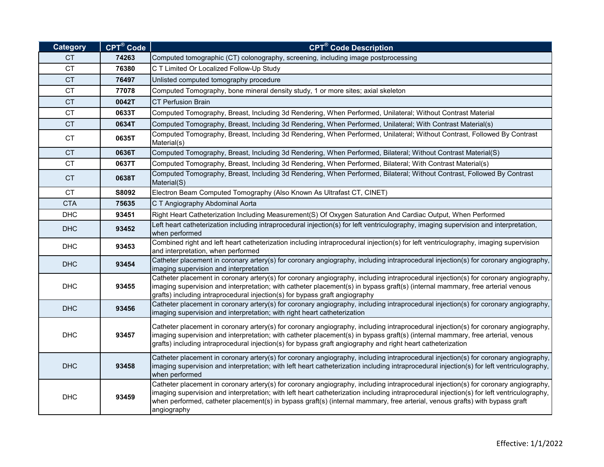| <b>Category</b> | $CPT^{\circledR}$ Code | <b>CPT<sup>®</sup> Code Description</b>                                                                                                                                                                                                                                                                                                                                                                                        |
|-----------------|------------------------|--------------------------------------------------------------------------------------------------------------------------------------------------------------------------------------------------------------------------------------------------------------------------------------------------------------------------------------------------------------------------------------------------------------------------------|
| CT.             | 74263                  | Computed tomographic (CT) colonography, screening, including image postprocessing                                                                                                                                                                                                                                                                                                                                              |
| <b>CT</b>       | 76380                  | C T Limited Or Localized Follow-Up Study                                                                                                                                                                                                                                                                                                                                                                                       |
| <b>CT</b>       | 76497                  | Unlisted computed tomography procedure                                                                                                                                                                                                                                                                                                                                                                                         |
| CT              | 77078                  | Computed Tomography, bone mineral density study, 1 or more sites; axial skeleton                                                                                                                                                                                                                                                                                                                                               |
| <b>CT</b>       | 0042T                  | <b>CT Perfusion Brain</b>                                                                                                                                                                                                                                                                                                                                                                                                      |
| <b>CT</b>       | 0633T                  | Computed Tomography, Breast, Including 3d Rendering, When Performed, Unilateral; Without Contrast Material                                                                                                                                                                                                                                                                                                                     |
| <b>CT</b>       | 0634T                  | Computed Tomography, Breast, Including 3d Rendering, When Performed, Unilateral; With Contrast Material(s)                                                                                                                                                                                                                                                                                                                     |
| <b>CT</b>       | 0635T                  | Computed Tomography, Breast, Including 3d Rendering, When Performed, Unilateral; Without Contrast, Followed By Contrast<br>Material(s)                                                                                                                                                                                                                                                                                         |
| <b>CT</b>       | 0636T                  | Computed Tomography, Breast, Including 3d Rendering, When Performed, Bilateral; Without Contrast Material(S)                                                                                                                                                                                                                                                                                                                   |
| <b>CT</b>       | 0637T                  | Computed Tomography, Breast, Including 3d Rendering, When Performed, Bilateral; With Contrast Material(s)                                                                                                                                                                                                                                                                                                                      |
| <b>CT</b>       | 0638T                  | Computed Tomography, Breast, Including 3d Rendering, When Performed, Bilateral; Without Contrast, Followed By Contrast<br>Material(S)                                                                                                                                                                                                                                                                                          |
| <b>CT</b>       | S8092                  | Electron Beam Computed Tomography (Also Known As Ultrafast CT, CINET)                                                                                                                                                                                                                                                                                                                                                          |
| <b>CTA</b>      | 75635                  | C T Angiography Abdominal Aorta                                                                                                                                                                                                                                                                                                                                                                                                |
| <b>DHC</b>      | 93451                  | Right Heart Catheterization Including Measurement(S) Of Oxygen Saturation And Cardiac Output, When Performed                                                                                                                                                                                                                                                                                                                   |
| <b>DHC</b>      | 93452                  | Left heart catheterization including intraprocedural injection(s) for left ventriculography, imaging supervision and interpretation,<br>when performed                                                                                                                                                                                                                                                                         |
| <b>DHC</b>      | 93453                  | Combined right and left heart catheterization including intraprocedural injection(s) for left ventriculography, imaging supervision<br>and interpretation, when performed                                                                                                                                                                                                                                                      |
| <b>DHC</b>      | 93454                  | Catheter placement in coronary artery(s) for coronary angiography, including intraprocedural injection(s) for coronary angiography,<br>imaging supervision and interpretation                                                                                                                                                                                                                                                  |
| <b>DHC</b>      | 93455                  | Catheter placement in coronary artery(s) for coronary angiography, including intraprocedural injection(s) for coronary angiography,<br>imaging supervision and interpretation; with catheter placement(s) in bypass graft(s) (internal mammary, free arterial venous<br>grafts) including intraprocedural injection(s) for bypass graft angiography                                                                            |
| <b>DHC</b>      | 93456                  | Catheter placement in coronary artery(s) for coronary angiography, including intraprocedural injection(s) for coronary angiography,<br>imaging supervision and interpretation; with right heart catheterization                                                                                                                                                                                                                |
| <b>DHC</b>      | 93457                  | Catheter placement in coronary artery(s) for coronary angiography, including intraprocedural injection(s) for coronary angiography,<br>imaging supervision and interpretation; with catheter placement(s) in bypass graft(s) (internal mammary, free arterial, venous<br>grafts) including intraprocedural injection(s) for bypass graft angiography and right heart catheterization                                           |
| <b>DHC</b>      | 93458                  | Catheter placement in coronary artery(s) for coronary angiography, including intraprocedural injection(s) for coronary angiography,<br>imaging supervision and interpretation; with left heart catheterization including intraprocedural injection(s) for left ventriculography,<br>when performed                                                                                                                             |
| <b>DHC</b>      | 93459                  | Catheter placement in coronary artery(s) for coronary angiography, including intraprocedural injection(s) for coronary angiography,<br>imaging supervision and interpretation; with left heart catheterization including intraprocedural injection(s) for left ventriculography,<br>when performed, catheter placement(s) in bypass graft(s) (internal mammary, free arterial, venous grafts) with bypass graft<br>angiography |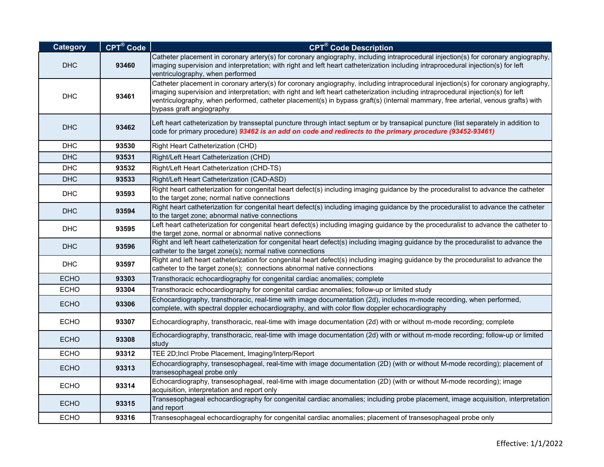| <b>Category</b> | CPT® Code | <b>CPT<sup>®</sup> Code Description</b>                                                                                                                                                                                                                                                                                                                                                                                                  |
|-----------------|-----------|------------------------------------------------------------------------------------------------------------------------------------------------------------------------------------------------------------------------------------------------------------------------------------------------------------------------------------------------------------------------------------------------------------------------------------------|
| <b>DHC</b>      | 93460     | Catheter placement in coronary artery(s) for coronary angiography, including intraprocedural injection(s) for coronary angiography,<br>imaging supervision and interpretation; with right and left heart catheterization including intraprocedural injection(s) for left<br>ventriculography, when performed                                                                                                                             |
| <b>DHC</b>      | 93461     | Catheter placement in coronary artery(s) for coronary angiography, including intraprocedural injection(s) for coronary angiography,<br>imaging supervision and interpretation; with right and left heart catheterization including intraprocedural injection(s) for left<br>ventriculography, when performed, catheter placement(s) in bypass graft(s) (internal mammary, free arterial, venous grafts) with<br>bypass graft angiography |
| <b>DHC</b>      | 93462     | Left heart catheterization by transseptal puncture through intact septum or by transapical puncture (list separately in addition to<br>code for primary procedure) 93462 is an add on code and redirects to the primary procedure (93452-93461)                                                                                                                                                                                          |
| <b>DHC</b>      | 93530     | Right Heart Catheterization (CHD)                                                                                                                                                                                                                                                                                                                                                                                                        |
| <b>DHC</b>      | 93531     | Right/Left Heart Catheterization (CHD)                                                                                                                                                                                                                                                                                                                                                                                                   |
| <b>DHC</b>      | 93532     | Right/Left Heart Catheterization (CHD-TS)                                                                                                                                                                                                                                                                                                                                                                                                |
| <b>DHC</b>      | 93533     | Right/Left Heart Catheterization (CAD-ASD)                                                                                                                                                                                                                                                                                                                                                                                               |
| <b>DHC</b>      | 93593     | Right heart catheterization for congenital heart defect(s) including imaging guidance by the proceduralist to advance the catheter<br>to the target zone; normal native connections                                                                                                                                                                                                                                                      |
| <b>DHC</b>      | 93594     | Right heart catheterization for congenital heart defect(s) including imaging guidance by the proceduralist to advance the catheter<br>to the target zone; abnormal native connections                                                                                                                                                                                                                                                    |
| <b>DHC</b>      | 93595     | Left heart catheterization for congenital heart defect(s) including imaging guidance by the proceduralist to advance the catheter to<br>the target zone, normal or abnormal native connections                                                                                                                                                                                                                                           |
| <b>DHC</b>      | 93596     | Right and left heart catheterization for congenital heart defect(s) including imaging guidance by the proceduralist to advance the<br>catheter to the target zone(s); normal native connections                                                                                                                                                                                                                                          |
| <b>DHC</b>      | 93597     | Right and left heart catheterization for congenital heart defect(s) including imaging guidance by the proceduralist to advance the<br>catheter to the target zone(s); connections abnormal native connections                                                                                                                                                                                                                            |
| <b>ECHO</b>     | 93303     | Transthoracic echocardiography for congenital cardiac anomalies; complete                                                                                                                                                                                                                                                                                                                                                                |
| <b>ECHO</b>     | 93304     | Transthoracic echocardiography for congenital cardiac anomalies; follow-up or limited study                                                                                                                                                                                                                                                                                                                                              |
| <b>ECHO</b>     | 93306     | Echocardiography, transthoracic, real-time with image documentation (2d), includes m-mode recording, when performed,<br>complete, with spectral doppler echocardiography, and with color flow doppler echocardiography                                                                                                                                                                                                                   |
| <b>ECHO</b>     | 93307     | Echocardiography, transthoracic, real-time with image documentation (2d) with or without m-mode recording; complete                                                                                                                                                                                                                                                                                                                      |
| <b>ECHO</b>     | 93308     | Echocardiography, transthoracic, real-time with image documentation (2d) with or without m-mode recording; follow-up or limited<br>study                                                                                                                                                                                                                                                                                                 |
| <b>ECHO</b>     | 93312     | TEE 2D; Incl Probe Placement, Imaging/Interp/Report                                                                                                                                                                                                                                                                                                                                                                                      |
| <b>ECHO</b>     | 93313     | Echocardiography, transesophageal, real-time with image documentation (2D) (with or without M-mode recording); placement of<br>transesophageal probe only                                                                                                                                                                                                                                                                                |
| ECHO            | 93314     | Echocardiography, transesophageal, real-time with image documentation (2D) (with or without M-mode recording); image<br>acquisition, interpretation and report only                                                                                                                                                                                                                                                                      |
| <b>ECHO</b>     | 93315     | Transesophageal echocardiography for congenital cardiac anomalies; including probe placement, image acquisition, interpretation<br>and report                                                                                                                                                                                                                                                                                            |
| <b>ECHO</b>     | 93316     | Transesophageal echocardiography for congenital cardiac anomalies; placement of transesophageal probe only                                                                                                                                                                                                                                                                                                                               |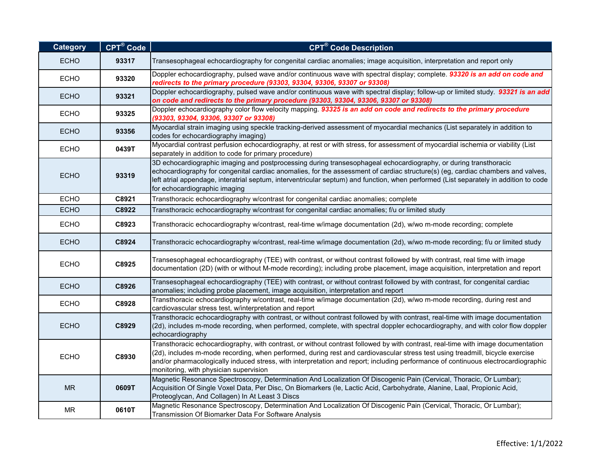| <b>Category</b> | CPT® Code | <b>CPT<sup>®</sup> Code Description</b>                                                                                                                                                                                                                                                                                                                                                                                                          |
|-----------------|-----------|--------------------------------------------------------------------------------------------------------------------------------------------------------------------------------------------------------------------------------------------------------------------------------------------------------------------------------------------------------------------------------------------------------------------------------------------------|
| <b>ECHO</b>     | 93317     | Transesophageal echocardiography for congenital cardiac anomalies; image acquisition, interpretation and report only                                                                                                                                                                                                                                                                                                                             |
| <b>ECHO</b>     | 93320     | Doppler echocardiography, pulsed wave and/or continuous wave with spectral display; complete. 93320 is an add on code and<br>redirects to the primary procedure (93303, 93304, 93306, 93307 or 93308)                                                                                                                                                                                                                                            |
| <b>ECHO</b>     | 93321     | Doppler echocardiography, pulsed wave and/or continuous wave with spectral display; follow-up or limited study. 93321 is an add<br>on code and redirects to the primary procedure (93303, 93304, 93306, 93307 or 93308)                                                                                                                                                                                                                          |
| <b>ECHO</b>     | 93325     | Doppler echocardiography color flow velocity mapping. 93325 is an add on code and redirects to the primary procedure<br>(93303, 93304, 93306, 93307 or 93308)                                                                                                                                                                                                                                                                                    |
| <b>ECHO</b>     | 93356     | Myocardial strain imaging using speckle tracking-derived assessment of myocardial mechanics (List separately in addition to<br>codes for echocardiography imaging)                                                                                                                                                                                                                                                                               |
| <b>ECHO</b>     | 0439T     | Myocardial contrast perfusion echocardiography, at rest or with stress, for assessment of myocardial ischemia or viability (List<br>separately in addition to code for primary procedure)                                                                                                                                                                                                                                                        |
| <b>ECHO</b>     | 93319     | 3D echocardiographic imaging and postprocessing during transesophageal echocardiography, or during transthoracic<br>echocardiography for congenital cardiac anomalies, for the assessment of cardiac structure(s) (eg, cardiac chambers and valves,<br>left atrial appendage, interatrial septum, interventricular septum) and function, when performed (List separately in addition to code<br>for echocardiographic imaging                    |
| <b>ECHO</b>     | C8921     | Transthoracic echocardiography w/contrast for congenital cardiac anomalies; complete                                                                                                                                                                                                                                                                                                                                                             |
| <b>ECHO</b>     | C8922     | Transthoracic echocardiography w/contrast for congenital cardiac anomalies; f/u or limited study                                                                                                                                                                                                                                                                                                                                                 |
| <b>ECHO</b>     | C8923     | Transthoracic echocardiography w/contrast, real-time w/image documentation (2d), w/wo m-mode recording; complete                                                                                                                                                                                                                                                                                                                                 |
| <b>ECHO</b>     | C8924     | Transthoracic echocardiography w/contrast, real-time w/image documentation (2d), w/wo m-mode recording; f/u or limited study                                                                                                                                                                                                                                                                                                                     |
| <b>ECHO</b>     | C8925     | Transesophageal echocardiography (TEE) with contrast, or without contrast followed by with contrast, real time with image<br>documentation (2D) (with or without M-mode recording); including probe placement, image acquisition, interpretation and report                                                                                                                                                                                      |
| <b>ECHO</b>     | C8926     | Transesophageal echocardiography (TEE) with contrast, or without contrast followed by with contrast, for congenital cardiac<br>anomalies; including probe placement, image acquisition, interpretation and report                                                                                                                                                                                                                                |
| <b>ECHO</b>     | C8928     | Transthoracic echocardiography w/contrast, real-time w/image documentation (2d), w/wo m-mode recording, during rest and<br>cardiovascular stress test, w/interpretation and report                                                                                                                                                                                                                                                               |
| <b>ECHO</b>     | C8929     | Transthoracic echocardiography with contrast, or without contrast followed by with contrast, real-time with image documentation<br>(2d), includes m-mode recording, when performed, complete, with spectral doppler echocardiography, and with color flow doppler<br>echocardiography                                                                                                                                                            |
| <b>ECHO</b>     | C8930     | Transthoracic echocardiography, with contrast, or without contrast followed by with contrast, real-time with image documentation<br>(2d), includes m-mode recording, when performed, during rest and cardiovascular stress test using treadmill, bicycle exercise<br>and/or pharmacologically induced stress, with interpretation and report; including performance of continuous electrocardiographic<br>monitoring, with physician supervision |
| <b>MR</b>       | 0609T     | Magnetic Resonance Spectroscopy, Determination And Localization Of Discogenic Pain (Cervical, Thoracic, Or Lumbar);<br>Acquisition Of Single Voxel Data, Per Disc, On Biomarkers (le, Lactic Acid, Carbohydrate, Alanine, Laal, Propionic Acid,<br>Proteoglycan, And Collagen) In At Least 3 Discs                                                                                                                                               |
| <b>MR</b>       | 0610T     | Magnetic Resonance Spectroscopy, Determination And Localization Of Discogenic Pain (Cervical, Thoracic, Or Lumbar);<br>Transmission Of Biomarker Data For Software Analysis                                                                                                                                                                                                                                                                      |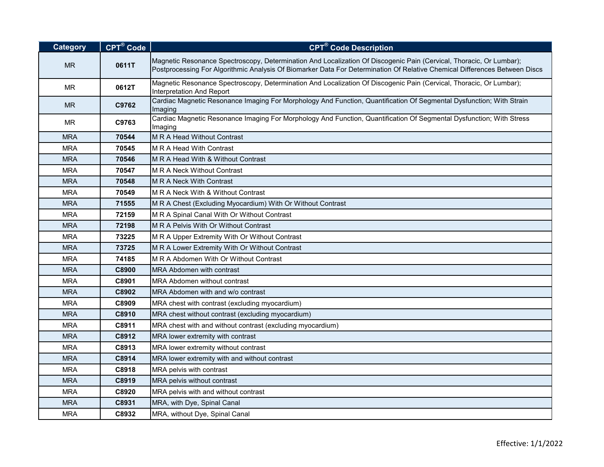| <b>Category</b> | CPT® Code | <b>CPT<sup>®</sup> Code Description</b>                                                                                                                                                                                                           |
|-----------------|-----------|---------------------------------------------------------------------------------------------------------------------------------------------------------------------------------------------------------------------------------------------------|
| <b>MR</b>       | 0611T     | Magnetic Resonance Spectroscopy, Determination And Localization Of Discogenic Pain (Cervical, Thoracic, Or Lumbar);<br>Postprocessing For Algorithmic Analysis Of Biomarker Data For Determination Of Relative Chemical Differences Between Discs |
| <b>MR</b>       | 0612T     | Magnetic Resonance Spectroscopy, Determination And Localization Of Discogenic Pain (Cervical, Thoracic, Or Lumbar);<br>Interpretation And Report                                                                                                  |
| <b>MR</b>       | C9762     | Cardiac Magnetic Resonance Imaging For Morphology And Function, Quantification Of Segmental Dysfunction; With Strain<br>Imaging                                                                                                                   |
| <b>MR</b>       | C9763     | Cardiac Magnetic Resonance Imaging For Morphology And Function, Quantification Of Segmental Dysfunction; With Stress<br>Imaging                                                                                                                   |
| <b>MRA</b>      | 70544     | M R A Head Without Contrast                                                                                                                                                                                                                       |
| <b>MRA</b>      | 70545     | M R A Head With Contrast                                                                                                                                                                                                                          |
| <b>MRA</b>      | 70546     | M R A Head With & Without Contrast                                                                                                                                                                                                                |
| <b>MRA</b>      | 70547     | M R A Neck Without Contrast                                                                                                                                                                                                                       |
| <b>MRA</b>      | 70548     | M R A Neck With Contrast                                                                                                                                                                                                                          |
| <b>MRA</b>      | 70549     | M R A Neck With & Without Contrast                                                                                                                                                                                                                |
| <b>MRA</b>      | 71555     | M R A Chest (Excluding Myocardium) With Or Without Contrast                                                                                                                                                                                       |
| <b>MRA</b>      | 72159     | M R A Spinal Canal With Or Without Contrast                                                                                                                                                                                                       |
| <b>MRA</b>      | 72198     | <b>M R A Pelvis With Or Without Contrast</b>                                                                                                                                                                                                      |
| <b>MRA</b>      | 73225     | M R A Upper Extremity With Or Without Contrast                                                                                                                                                                                                    |
| <b>MRA</b>      | 73725     | M R A Lower Extremity With Or Without Contrast                                                                                                                                                                                                    |
| <b>MRA</b>      | 74185     | M R A Abdomen With Or Without Contrast                                                                                                                                                                                                            |
| <b>MRA</b>      | C8900     | MRA Abdomen with contrast                                                                                                                                                                                                                         |
| <b>MRA</b>      | C8901     | MRA Abdomen without contrast                                                                                                                                                                                                                      |
| <b>MRA</b>      | C8902     | MRA Abdomen with and w/o contrast                                                                                                                                                                                                                 |
| <b>MRA</b>      | C8909     | MRA chest with contrast (excluding myocardium)                                                                                                                                                                                                    |
| <b>MRA</b>      | C8910     | MRA chest without contrast (excluding myocardium)                                                                                                                                                                                                 |
| <b>MRA</b>      | C8911     | MRA chest with and without contrast (excluding myocardium)                                                                                                                                                                                        |
| <b>MRA</b>      | C8912     | MRA lower extremity with contrast                                                                                                                                                                                                                 |
| <b>MRA</b>      | C8913     | MRA lower extremity without contrast                                                                                                                                                                                                              |
| <b>MRA</b>      | C8914     | MRA lower extremity with and without contrast                                                                                                                                                                                                     |
| <b>MRA</b>      | C8918     | MRA pelvis with contrast                                                                                                                                                                                                                          |
| <b>MRA</b>      | C8919     | MRA pelvis without contrast                                                                                                                                                                                                                       |
| <b>MRA</b>      | C8920     | MRA pelvis with and without contrast                                                                                                                                                                                                              |
| <b>MRA</b>      | C8931     | MRA, with Dye, Spinal Canal                                                                                                                                                                                                                       |
| <b>MRA</b>      | C8932     | MRA, without Dye, Spinal Canal                                                                                                                                                                                                                    |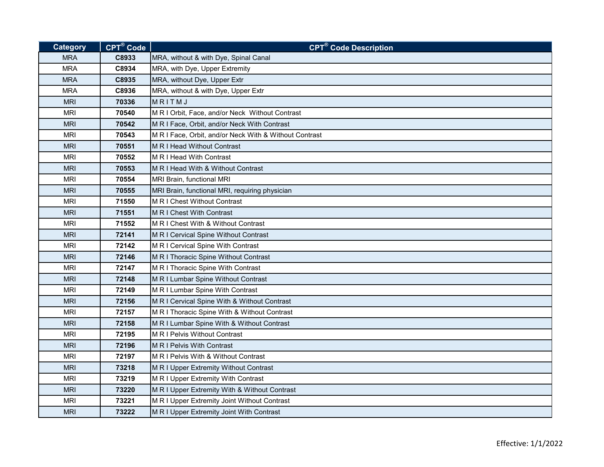| Category   | $CPT^{\circledR}$ Code | <b>CPT<sup>®</sup> Code Description</b>                |
|------------|------------------------|--------------------------------------------------------|
| <b>MRA</b> | C8933                  | MRA, without & with Dye, Spinal Canal                  |
| <b>MRA</b> | C8934                  | MRA, with Dye, Upper Extremity                         |
| <b>MRA</b> | C8935                  | MRA, without Dye, Upper Extr                           |
| <b>MRA</b> | C8936                  | MRA, without & with Dye, Upper Extr                    |
| <b>MRI</b> | 70336                  | MRITMJ                                                 |
| <b>MRI</b> | 70540                  | M R I Orbit, Face, and/or Neck Without Contrast        |
| <b>MRI</b> | 70542                  | M R I Face, Orbit, and/or Neck With Contrast           |
| <b>MRI</b> | 70543                  | M R I Face, Orbit, and/or Neck With & Without Contrast |
| <b>MRI</b> | 70551                  | M R I Head Without Contrast                            |
| <b>MRI</b> | 70552                  | M R I Head With Contrast                               |
| <b>MRI</b> | 70553                  | M R I Head With & Without Contrast                     |
| <b>MRI</b> | 70554                  | MRI Brain, functional MRI                              |
| <b>MRI</b> | 70555                  | MRI Brain, functional MRI, requiring physician         |
| <b>MRI</b> | 71550                  | M R I Chest Without Contrast                           |
| <b>MRI</b> | 71551                  | M R I Chest With Contrast                              |
| <b>MRI</b> | 71552                  | M R I Chest With & Without Contrast                    |
| <b>MRI</b> | 72141                  | M R I Cervical Spine Without Contrast                  |
| <b>MRI</b> | 72142                  | M R I Cervical Spine With Contrast                     |
| <b>MRI</b> | 72146                  | M R I Thoracic Spine Without Contrast                  |
| <b>MRI</b> | 72147                  | M R I Thoracic Spine With Contrast                     |
| <b>MRI</b> | 72148                  | M R I Lumbar Spine Without Contrast                    |
| <b>MRI</b> | 72149                  | M R I Lumbar Spine With Contrast                       |
| <b>MRI</b> | 72156                  | M R I Cervical Spine With & Without Contrast           |
| <b>MRI</b> | 72157                  | M R I Thoracic Spine With & Without Contrast           |
| <b>MRI</b> | 72158                  | M R I Lumbar Spine With & Without Contrast             |
| MRI        | 72195                  | M R I Pelvis Without Contrast                          |
| <b>MRI</b> | 72196                  | M R I Pelvis With Contrast                             |
| <b>MRI</b> | 72197                  | M R I Pelvis With & Without Contrast                   |
| <b>MRI</b> | 73218                  | M R I Upper Extremity Without Contrast                 |
| <b>MRI</b> | 73219                  | M R I Upper Extremity With Contrast                    |
| <b>MRI</b> | 73220                  | M R I Upper Extremity With & Without Contrast          |
| <b>MRI</b> | 73221                  | M R I Upper Extremity Joint Without Contrast           |
| <b>MRI</b> | 73222                  | M R I Upper Extremity Joint With Contrast              |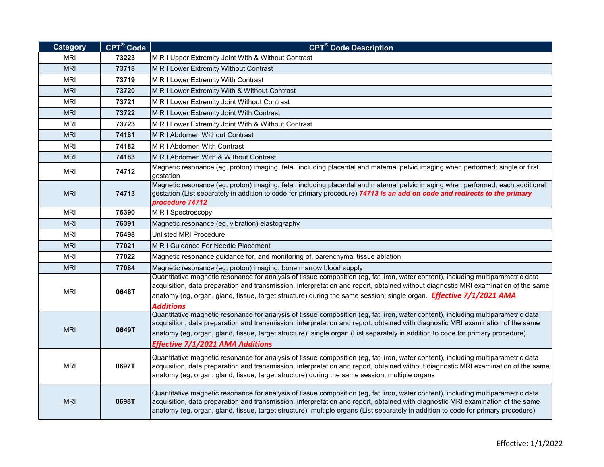| <b>Category</b> | <b>CPT®</b> Code | <b>CPT<sup>®</sup> Code Description</b>                                                                                                                                                                                                                                                                                                                                                                                                     |
|-----------------|------------------|---------------------------------------------------------------------------------------------------------------------------------------------------------------------------------------------------------------------------------------------------------------------------------------------------------------------------------------------------------------------------------------------------------------------------------------------|
| <b>MRI</b>      | 73223            | M R I Upper Extremity Joint With & Without Contrast                                                                                                                                                                                                                                                                                                                                                                                         |
| <b>MRI</b>      | 73718            | M R I Lower Extremity Without Contrast                                                                                                                                                                                                                                                                                                                                                                                                      |
| <b>MRI</b>      | 73719            | M R I Lower Extremity With Contrast                                                                                                                                                                                                                                                                                                                                                                                                         |
| <b>MRI</b>      | 73720            | M R I Lower Extremity With & Without Contrast                                                                                                                                                                                                                                                                                                                                                                                               |
| <b>MRI</b>      | 73721            | M R I Lower Extremity Joint Without Contrast                                                                                                                                                                                                                                                                                                                                                                                                |
| <b>MRI</b>      | 73722            | M R I Lower Extremity Joint With Contrast                                                                                                                                                                                                                                                                                                                                                                                                   |
| <b>MRI</b>      | 73723            | M R I Lower Extremity Joint With & Without Contrast                                                                                                                                                                                                                                                                                                                                                                                         |
| <b>MRI</b>      | 74181            | M R I Abdomen Without Contrast                                                                                                                                                                                                                                                                                                                                                                                                              |
| <b>MRI</b>      | 74182            | M R I Abdomen With Contrast                                                                                                                                                                                                                                                                                                                                                                                                                 |
| <b>MRI</b>      | 74183            | M R I Abdomen With & Without Contrast                                                                                                                                                                                                                                                                                                                                                                                                       |
| <b>MRI</b>      | 74712            | Magnetic resonance (eg, proton) imaging, fetal, including placental and maternal pelvic imaging when performed; single or first<br>gestation                                                                                                                                                                                                                                                                                                |
| <b>MRI</b>      | 74713            | Magnetic resonance (eg, proton) imaging, fetal, including placental and maternal pelvic imaging when performed; each additional<br>gestation (List separately in addition to code for primary procedure) 74713 is an add on code and redirects to the primary<br>procedure 74712                                                                                                                                                            |
| <b>MRI</b>      | 76390            | M R I Spectroscopy                                                                                                                                                                                                                                                                                                                                                                                                                          |
| <b>MRI</b>      | 76391            | Magnetic resonance (eg, vibration) elastography                                                                                                                                                                                                                                                                                                                                                                                             |
| <b>MRI</b>      | 76498            | Unlisted MRI Procedure                                                                                                                                                                                                                                                                                                                                                                                                                      |
| <b>MRI</b>      | 77021            | M R I Guidance For Needle Placement                                                                                                                                                                                                                                                                                                                                                                                                         |
| MRI             | 77022            | Magnetic resonance guidance for, and monitoring of, parenchymal tissue ablation                                                                                                                                                                                                                                                                                                                                                             |
| <b>MRI</b>      | 77084            | Magnetic resonance (eg, proton) imaging, bone marrow blood supply                                                                                                                                                                                                                                                                                                                                                                           |
| <b>MRI</b>      | 0648T            | Quantitative magnetic resonance for analysis of tissue composition (eg, fat, iron, water content), including multiparametric data<br>acquisition, data preparation and transmission, interpretation and report, obtained without diagnostic MRI examination of the same<br>anatomy (eg, organ, gland, tissue, target structure) during the same session; single organ. <b>Effective 7/1/2021 AMA</b><br><b>Additions</b>                    |
| <b>MRI</b>      | 0649T            | Quantitative magnetic resonance for analysis of tissue composition (eg, fat, iron, water content), including multiparametric data<br>acquisition, data preparation and transmission, interpretation and report, obtained with diagnostic MRI examination of the same<br>anatomy (eg, organ, gland, tissue, target structure); single organ (List separately in addition to code for primary procedure).<br>Effective 7/1/2021 AMA Additions |
| <b>MRI</b>      | 0697T            | Quantitative magnetic resonance for analysis of tissue composition (eg, fat, iron, water content), including multiparametric data<br>acquisition, data preparation and transmission, interpretation and report, obtained without diagnostic MRI examination of the same<br>anatomy (eg, organ, gland, tissue, target structure) during the same session; multiple organs                                                                    |
| <b>MRI</b>      | 0698T            | Quantitative magnetic resonance for analysis of tissue composition (eg, fat, iron, water content), including multiparametric data<br>acquisition, data preparation and transmission, interpretation and report, obtained with diagnostic MRI examination of the same<br>anatomy (eg, organ, gland, tissue, target structure); multiple organs (List separately in addition to code for primary procedure)                                   |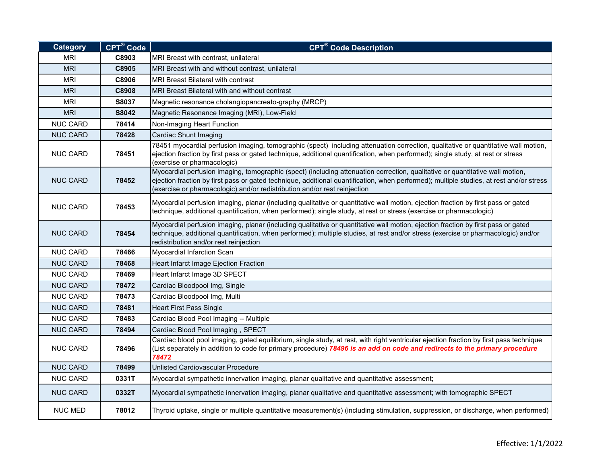| <b>Category</b> | CPT <sup>®</sup> Code | <b>CPT<sup>®</sup> Code Description</b>                                                                                                                                                                                                                                                                                                               |
|-----------------|-----------------------|-------------------------------------------------------------------------------------------------------------------------------------------------------------------------------------------------------------------------------------------------------------------------------------------------------------------------------------------------------|
| <b>MRI</b>      | C8903                 | MRI Breast with contrast, unilateral                                                                                                                                                                                                                                                                                                                  |
| <b>MRI</b>      | C8905                 | MRI Breast with and without contrast, unilateral                                                                                                                                                                                                                                                                                                      |
| <b>MRI</b>      | C8906                 | <b>MRI Breast Bilateral with contrast</b>                                                                                                                                                                                                                                                                                                             |
| <b>MRI</b>      | C8908                 | MRI Breast Bilateral with and without contrast                                                                                                                                                                                                                                                                                                        |
| <b>MRI</b>      | S8037                 | Magnetic resonance cholangiopancreato-graphy (MRCP)                                                                                                                                                                                                                                                                                                   |
| <b>MRI</b>      | S8042                 | Magnetic Resonance Imaging (MRI), Low-Field                                                                                                                                                                                                                                                                                                           |
| <b>NUC CARD</b> | 78414                 | Non-Imaging Heart Function                                                                                                                                                                                                                                                                                                                            |
| <b>NUC CARD</b> | 78428                 | Cardiac Shunt Imaging                                                                                                                                                                                                                                                                                                                                 |
| <b>NUC CARD</b> | 78451                 | 78451 myocardial perfusion imaging, tomographic (spect) including attenuation correction, qualitative or quantitative wall motion,<br>ejection fraction by first pass or gated technique, additional quantification, when performed); single study, at rest or stress<br>(exercise or pharmacologic)                                                  |
| <b>NUC CARD</b> | 78452                 | Myocardial perfusion imaging, tomographic (spect) (including attenuation correction, qualitative or quantitative wall motion,<br>ejection fraction by first pass or gated technique, additional quantification, when performed); multiple studies, at rest and/or stress<br>(exercise or pharmacologic) and/or redistribution and/or rest reinjection |
| <b>NUC CARD</b> | 78453                 | Myocardial perfusion imaging, planar (including qualitative or quantitative wall motion, ejection fraction by first pass or gated<br>technique, additional quantification, when performed); single study, at rest or stress (exercise or pharmacologic)                                                                                               |
| <b>NUC CARD</b> | 78454                 | Myocardial perfusion imaging, planar (including qualitative or quantitative wall motion, ejection fraction by first pass or gated<br>technique, additional quantification, when performed); multiple studies, at rest and/or stress (exercise or pharmacologic) and/or<br>redistribution and/or rest reinjection                                      |
| <b>NUC CARD</b> | 78466                 | Myocardial Infarction Scan                                                                                                                                                                                                                                                                                                                            |
| <b>NUC CARD</b> | 78468                 | Heart Infarct Image Ejection Fraction                                                                                                                                                                                                                                                                                                                 |
| <b>NUC CARD</b> | 78469                 | Heart Infarct Image 3D SPECT                                                                                                                                                                                                                                                                                                                          |
| <b>NUC CARD</b> | 78472                 | Cardiac Bloodpool Img, Single                                                                                                                                                                                                                                                                                                                         |
| <b>NUC CARD</b> | 78473                 | Cardiac Bloodpool Img, Multi                                                                                                                                                                                                                                                                                                                          |
| <b>NUC CARD</b> | 78481                 | <b>Heart First Pass Single</b>                                                                                                                                                                                                                                                                                                                        |
| <b>NUC CARD</b> | 78483                 | Cardiac Blood Pool Imaging -- Multiple                                                                                                                                                                                                                                                                                                                |
| <b>NUC CARD</b> | 78494                 | Cardiac Blood Pool Imaging, SPECT                                                                                                                                                                                                                                                                                                                     |
| <b>NUC CARD</b> | 78496                 | Cardiac blood pool imaging, gated equilibrium, single study, at rest, with right ventricular ejection fraction by first pass technique<br>(List separately in addition to code for primary procedure) 78496 is an add on code and redirects to the primary procedure<br>78472                                                                         |
| <b>NUC CARD</b> | 78499                 | Unlisted Cardiovascular Procedure                                                                                                                                                                                                                                                                                                                     |
| <b>NUC CARD</b> | 0331T                 | Myocardial sympathetic innervation imaging, planar qualitative and quantitative assessment;                                                                                                                                                                                                                                                           |
| <b>NUC CARD</b> | 0332T                 | Myocardial sympathetic innervation imaging, planar qualitative and quantitative assessment; with tomographic SPECT                                                                                                                                                                                                                                    |
| <b>NUC MED</b>  | 78012                 | Thyroid uptake, single or multiple quantitative measurement(s) (including stimulation, suppression, or discharge, when performed)                                                                                                                                                                                                                     |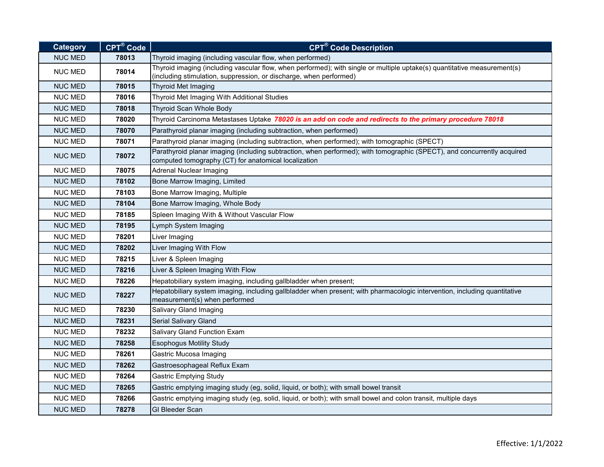| <b>Category</b> | CPT <sup>®</sup> Code | <b>CPT<sup>®</sup> Code Description</b>                                                                                                                                                        |
|-----------------|-----------------------|------------------------------------------------------------------------------------------------------------------------------------------------------------------------------------------------|
| <b>NUC MED</b>  | 78013                 | Thyroid imaging (including vascular flow, when performed)                                                                                                                                      |
| <b>NUC MED</b>  | 78014                 | Thyroid imaging (including vascular flow, when performed); with single or multiple uptake(s) quantitative measurement(s)<br>(including stimulation, suppression, or discharge, when performed) |
| <b>NUC MED</b>  | 78015                 | Thyroid Met Imaging                                                                                                                                                                            |
| <b>NUC MED</b>  | 78016                 | Thyroid Met Imaging With Additional Studies                                                                                                                                                    |
| <b>NUC MED</b>  | 78018                 | Thyroid Scan Whole Body                                                                                                                                                                        |
| <b>NUC MED</b>  | 78020                 | Thyroid Carcinoma Metastases Uptake 78020 is an add on code and redirects to the primary procedure 78018                                                                                       |
| <b>NUC MED</b>  | 78070                 | Parathyroid planar imaging (including subtraction, when performed)                                                                                                                             |
| <b>NUC MED</b>  | 78071                 | Parathyroid planar imaging (including subtraction, when performed); with tomographic (SPECT)                                                                                                   |
| <b>NUC MED</b>  | 78072                 | Parathyroid planar imaging (including subtraction, when performed); with tomographic (SPECT), and concurrently acquired<br>computed tomography (CT) for anatomical localization                |
| <b>NUC MED</b>  | 78075                 | <b>Adrenal Nuclear Imaging</b>                                                                                                                                                                 |
| <b>NUC MED</b>  | 78102                 | Bone Marrow Imaging, Limited                                                                                                                                                                   |
| <b>NUC MED</b>  | 78103                 | Bone Marrow Imaging, Multiple                                                                                                                                                                  |
| <b>NUC MED</b>  | 78104                 | Bone Marrow Imaging, Whole Body                                                                                                                                                                |
| <b>NUC MED</b>  | 78185                 | Spleen Imaging With & Without Vascular Flow                                                                                                                                                    |
| <b>NUC MED</b>  | 78195                 | Lymph System Imaging                                                                                                                                                                           |
| <b>NUC MED</b>  | 78201                 | Liver Imaging                                                                                                                                                                                  |
| <b>NUC MED</b>  | 78202                 | Liver Imaging With Flow                                                                                                                                                                        |
| <b>NUC MED</b>  | 78215                 | Liver & Spleen Imaging                                                                                                                                                                         |
| <b>NUC MED</b>  | 78216                 | Liver & Spleen Imaging With Flow                                                                                                                                                               |
| <b>NUC MED</b>  | 78226                 | Hepatobiliary system imaging, including gallbladder when present;                                                                                                                              |
| <b>NUC MED</b>  | 78227                 | Hepatobiliary system imaging, including gallbladder when present; with pharmacologic intervention, including quantitative<br>measurement(s) when performed                                     |
| <b>NUC MED</b>  | 78230                 | Salivary Gland Imaging                                                                                                                                                                         |
| <b>NUC MED</b>  | 78231                 | Serial Salivary Gland                                                                                                                                                                          |
| <b>NUC MED</b>  | 78232                 | Salivary Gland Function Exam                                                                                                                                                                   |
| <b>NUC MED</b>  | 78258                 | <b>Esophogus Motility Study</b>                                                                                                                                                                |
| <b>NUC MED</b>  | 78261                 | <b>Gastric Mucosa Imaging</b>                                                                                                                                                                  |
| <b>NUC MED</b>  | 78262                 | Gastroesophageal Reflux Exam                                                                                                                                                                   |
| <b>NUC MED</b>  | 78264                 | <b>Gastric Emptying Study</b>                                                                                                                                                                  |
| <b>NUC MED</b>  | 78265                 | Gastric emptying imaging study (eg, solid, liquid, or both); with small bowel transit                                                                                                          |
| <b>NUC MED</b>  | 78266                 | Gastric emptying imaging study (eg, solid, liquid, or both); with small bowel and colon transit, multiple days                                                                                 |
| <b>NUC MED</b>  | 78278                 | <b>GI Bleeder Scan</b>                                                                                                                                                                         |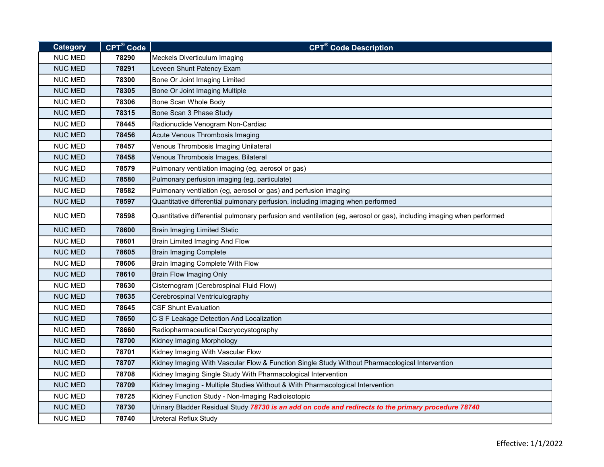| <b>Category</b> | CPT <sup>®</sup> Code | <b>CPT<sup>®</sup> Code Description</b>                                                                              |
|-----------------|-----------------------|----------------------------------------------------------------------------------------------------------------------|
| <b>NUC MED</b>  | 78290                 | Meckels Diverticulum Imaging                                                                                         |
| <b>NUC MED</b>  | 78291                 | Leveen Shunt Patency Exam                                                                                            |
| <b>NUC MED</b>  | 78300                 | Bone Or Joint Imaging Limited                                                                                        |
| <b>NUC MED</b>  | 78305                 | Bone Or Joint Imaging Multiple                                                                                       |
| <b>NUC MED</b>  | 78306                 | Bone Scan Whole Body                                                                                                 |
| <b>NUC MED</b>  | 78315                 | Bone Scan 3 Phase Study                                                                                              |
| <b>NUC MED</b>  | 78445                 | Radionuclide Venogram Non-Cardiac                                                                                    |
| <b>NUC MED</b>  | 78456                 | Acute Venous Thrombosis Imaging                                                                                      |
| <b>NUC MED</b>  | 78457                 | Venous Thrombosis Imaging Unilateral                                                                                 |
| <b>NUC MED</b>  | 78458                 | Venous Thrombosis Images, Bilateral                                                                                  |
| <b>NUC MED</b>  | 78579                 | Pulmonary ventilation imaging (eg, aerosol or gas)                                                                   |
| <b>NUC MED</b>  | 78580                 | Pulmonary perfusion imaging (eg, particulate)                                                                        |
| <b>NUC MED</b>  | 78582                 | Pulmonary ventilation (eg, aerosol or gas) and perfusion imaging                                                     |
| <b>NUC MED</b>  | 78597                 | Quantitative differential pulmonary perfusion, including imaging when performed                                      |
| <b>NUC MED</b>  | 78598                 | Quantitative differential pulmonary perfusion and ventilation (eg, aerosol or gas), including imaging when performed |
| <b>NUC MED</b>  | 78600                 | <b>Brain Imaging Limited Static</b>                                                                                  |
| <b>NUC MED</b>  | 78601                 | Brain Limited Imaging And Flow                                                                                       |
| <b>NUC MED</b>  | 78605                 | <b>Brain Imaging Complete</b>                                                                                        |
| <b>NUC MED</b>  | 78606                 | Brain Imaging Complete With Flow                                                                                     |
| <b>NUC MED</b>  | 78610                 | <b>Brain Flow Imaging Only</b>                                                                                       |
| <b>NUC MED</b>  | 78630                 | Cisternogram (Cerebrospinal Fluid Flow)                                                                              |
| <b>NUC MED</b>  | 78635                 | Cerebrospinal Ventriculography                                                                                       |
| <b>NUC MED</b>  | 78645                 | <b>CSF Shunt Evaluation</b>                                                                                          |
| <b>NUC MED</b>  | 78650                 | C S F Leakage Detection And Localization                                                                             |
| <b>NUC MED</b>  | 78660                 | Radiopharmaceutical Dacryocystography                                                                                |
| <b>NUC MED</b>  | 78700                 | Kidney Imaging Morphology                                                                                            |
| <b>NUC MED</b>  | 78701                 | Kidney Imaging With Vascular Flow                                                                                    |
| <b>NUC MED</b>  | 78707                 | Kidney Imaging With Vascular Flow & Function Single Study Without Pharmacological Intervention                       |
| <b>NUC MED</b>  | 78708                 | Kidney Imaging Single Study With Pharmacological Intervention                                                        |
| <b>NUC MED</b>  | 78709                 | Kidney Imaging - Multiple Studies Without & With Pharmacological Intervention                                        |
| <b>NUC MED</b>  | 78725                 | Kidney Function Study - Non-Imaging Radioisotopic                                                                    |
| <b>NUC MED</b>  | 78730                 | Urinary Bladder Residual Study 78730 is an add on code and redirects to the primary procedure 78740                  |
| <b>NUC MED</b>  | 78740                 | Ureteral Reflux Study                                                                                                |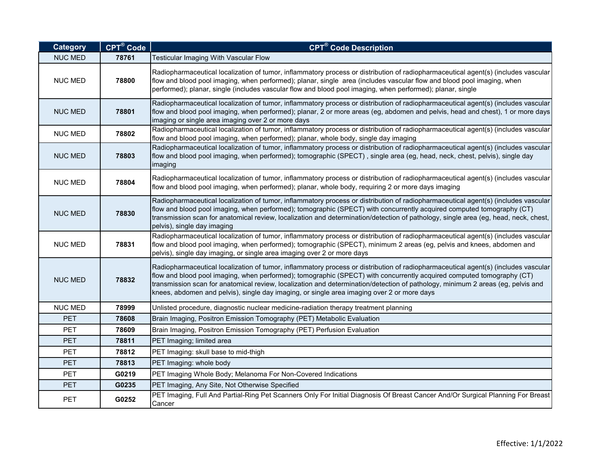| <b>Category</b> | CPT <sup>®</sup> Code | <b>CPT<sup>®</sup> Code Description</b>                                                                                                                                                                                                                                                                                                                                                                                                                                                      |
|-----------------|-----------------------|----------------------------------------------------------------------------------------------------------------------------------------------------------------------------------------------------------------------------------------------------------------------------------------------------------------------------------------------------------------------------------------------------------------------------------------------------------------------------------------------|
| <b>NUC MED</b>  | 78761                 | Testicular Imaging With Vascular Flow                                                                                                                                                                                                                                                                                                                                                                                                                                                        |
| <b>NUC MED</b>  | 78800                 | Radiopharmaceutical localization of tumor, inflammatory process or distribution of radiopharmaceutical agent(s) (includes vascular<br>flow and blood pool imaging, when performed); planar, single area (includes vascular flow and blood pool imaging, when<br>performed); planar, single (includes vascular flow and blood pool imaging, when performed); planar, single                                                                                                                   |
| <b>NUC MED</b>  | 78801                 | Radiopharmaceutical localization of tumor, inflammatory process or distribution of radiopharmaceutical agent(s) (includes vascular<br>flow and blood pool imaging, when performed); planar, 2 or more areas (eg, abdomen and pelvis, head and chest), 1 or more days<br>imaging or single area imaging over 2 or more days                                                                                                                                                                   |
| <b>NUC MED</b>  | 78802                 | Radiopharmaceutical localization of tumor, inflammatory process or distribution of radiopharmaceutical agent(s) (includes vascular<br>flow and blood pool imaging, when performed); planar, whole body, single day imaging                                                                                                                                                                                                                                                                   |
| <b>NUC MED</b>  | 78803                 | Radiopharmaceutical localization of tumor, inflammatory process or distribution of radiopharmaceutical agent(s) (includes vascular<br>flow and blood pool imaging, when performed); tomographic (SPECT), single area (eg, head, neck, chest, pelvis), single day<br>imaging                                                                                                                                                                                                                  |
| <b>NUC MED</b>  | 78804                 | Radiopharmaceutical localization of tumor, inflammatory process or distribution of radiopharmaceutical agent(s) (includes vascular<br>flow and blood pool imaging, when performed); planar, whole body, requiring 2 or more days imaging                                                                                                                                                                                                                                                     |
| <b>NUC MED</b>  | 78830                 | Radiopharmaceutical localization of tumor, inflammatory process or distribution of radiopharmaceutical agent(s) (includes vascular<br>flow and blood pool imaging, when performed); tomographic (SPECT) with concurrently acquired computed tomography (CT)<br>transmission scan for anatomical review, localization and determination/detection of pathology, single area (eg, head, neck, chest,<br>pelvis), single day imaging                                                            |
| <b>NUC MED</b>  | 78831                 | Radiopharmaceutical localization of tumor, inflammatory process or distribution of radiopharmaceutical agent(s) (includes vascular<br>flow and blood pool imaging, when performed); tomographic (SPECT), minimum 2 areas (eg, pelvis and knees, abdomen and<br>pelvis), single day imaging, or single area imaging over 2 or more days                                                                                                                                                       |
| <b>NUC MED</b>  | 78832                 | Radiopharmaceutical localization of tumor, inflammatory process or distribution of radiopharmaceutical agent(s) (includes vascular<br>flow and blood pool imaging, when performed); tomographic (SPECT) with concurrently acquired computed tomography (CT)<br>transmission scan for anatomical review, localization and determination/detection of pathology, minimum 2 areas (eg, pelvis and<br>knees, abdomen and pelvis), single day imaging, or single area imaging over 2 or more days |
| <b>NUC MED</b>  | 78999                 | Unlisted procedure, diagnostic nuclear medicine-radiation therapy treatment planning                                                                                                                                                                                                                                                                                                                                                                                                         |
| <b>PET</b>      | 78608                 | Brain Imaging, Positron Emission Tomography (PET) Metabolic Evaluation                                                                                                                                                                                                                                                                                                                                                                                                                       |
| <b>PET</b>      | 78609                 | Brain Imaging, Positron Emission Tomography (PET) Perfusion Evaluation                                                                                                                                                                                                                                                                                                                                                                                                                       |
| <b>PET</b>      | 78811                 | PET Imaging; limited area                                                                                                                                                                                                                                                                                                                                                                                                                                                                    |
| <b>PET</b>      | 78812                 | PET Imaging: skull base to mid-thigh                                                                                                                                                                                                                                                                                                                                                                                                                                                         |
| <b>PET</b>      | 78813                 | PET Imaging: whole body                                                                                                                                                                                                                                                                                                                                                                                                                                                                      |
| <b>PET</b>      | G0219                 | PET Imaging Whole Body; Melanoma For Non-Covered Indications                                                                                                                                                                                                                                                                                                                                                                                                                                 |
| <b>PET</b>      | G0235                 | PET Imaging, Any Site, Not Otherwise Specified                                                                                                                                                                                                                                                                                                                                                                                                                                               |
| PET             | G0252                 | PET Imaging, Full And Partial-Ring Pet Scanners Only For Initial Diagnosis Of Breast Cancer And/Or Surgical Planning For Breast<br>Cancer                                                                                                                                                                                                                                                                                                                                                    |